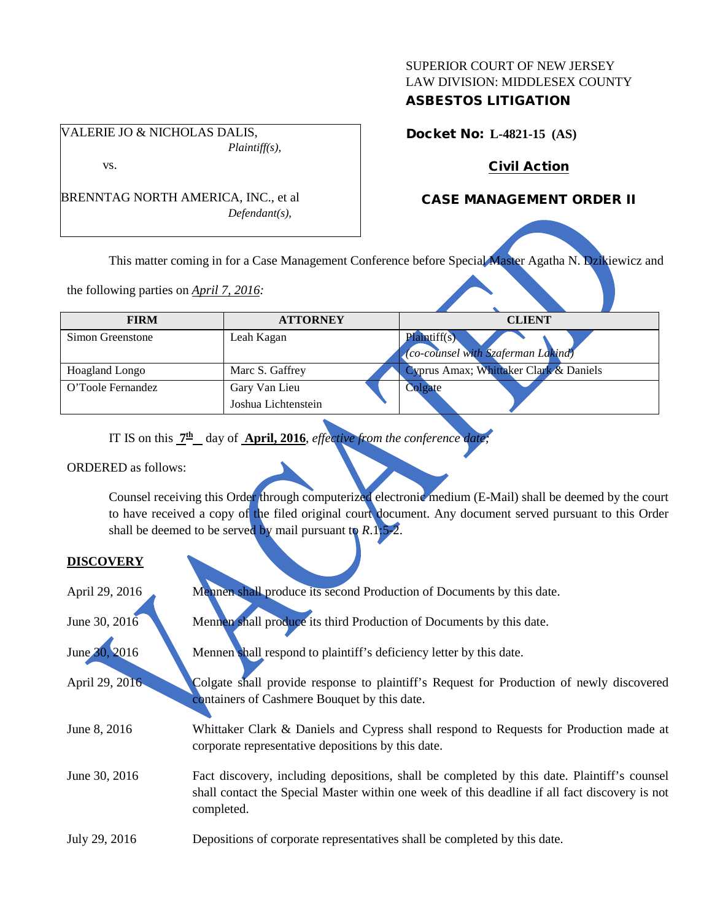## SUPERIOR COURT OF NEW JERSEY LAW DIVISION: MIDDLESEX COUNTY ASBESTOS LITIGATION

VALERIE JO & NICHOLAS DALIS, *Plaintiff(s),*

vs.

BRENNTAG NORTH AMERICA, INC., et al *Defendant(s),*

Docket No: **L-4821-15 (AS)** 

# Civil Action

# CASE MANAGEMENT ORDER II

This matter coming in for a Case Management Conference before Special Master Agatha N. Dzikiewicz and

the following parties on *April 7, 2016:*

| <b>FIRM</b>           | <b>ATTORNEY</b>                      | <b>CLIENT</b>                                      |
|-----------------------|--------------------------------------|----------------------------------------------------|
| Simon Greenstone      | Leah Kagan                           | Plaintiff(s)<br>(co-counsel with Szaferman Lakind) |
| <b>Hoagland Longo</b> | Marc S. Gaffrey                      | Cyprus Amax; Whittaker Clark & Daniels             |
| O'Toole Fernandez     | Gary Van Lieu<br>Joshua Lichtenstein | Colgate                                            |

IT IS on this  $\frac{7h}{\mu}$  day of **April, 2016**, *effective from the conference date*;

ORDERED as follows:

Counsel receiving this Order through computerized electronic medium (E-Mail) shall be deemed by the court to have received a copy of the filed original court document. Any document served pursuant to this Order shall be deemed to be served by mail pursuant to *R*.1:5-2.

## **DISCOVERY**

| April 29, 2016 | Mennen shall produce its second Production of Documents by this date.                                                                                                                                       |
|----------------|-------------------------------------------------------------------------------------------------------------------------------------------------------------------------------------------------------------|
| June 30, 2016  | Mennen shall produce its third Production of Documents by this date.                                                                                                                                        |
| June 30, 2016  | Mennen shall respond to plaintiff's deficiency letter by this date.                                                                                                                                         |
| April 29, 2016 | Colgate shall provide response to plaintiff's Request for Production of newly discovered<br>containers of Cashmere Bouquet by this date.                                                                    |
| June 8, 2016   | Whittaker Clark & Daniels and Cypress shall respond to Requests for Production made at<br>corporate representative depositions by this date.                                                                |
| June 30, 2016  | Fact discovery, including depositions, shall be completed by this date. Plaintiff's counsel<br>shall contact the Special Master within one week of this deadline if all fact discovery is not<br>completed. |
| July 29, 2016  | Depositions of corporate representatives shall be completed by this date.                                                                                                                                   |